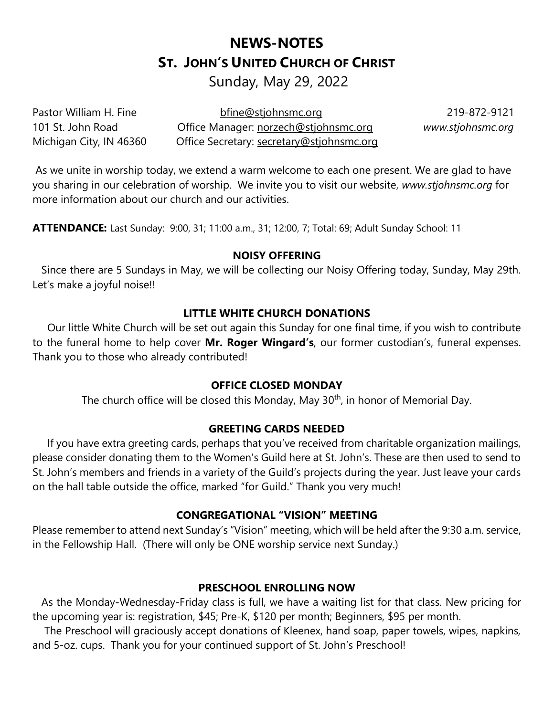# **NEWS-NOTES ST. JOHN'S UNITED CHURCH OF CHRIST**

Sunday, May 29, 2022

Pastor William H. Fine bfine@stjohnsmc.org 219-872-9121 101 St. John Road Office Manager: norzech@stjohnsmc.org *www.stjohnsmc.org*  Michigan City, IN 46360 Office Secretary: secretary@stjohnsmc.org

As we unite in worship today, we extend a warm welcome to each one present. We are glad to have you sharing in our celebration of worship. We invite you to visit our website, *www.stjohnsmc.org* for more information about our church and our activities.

**ATTENDANCE:** Last Sunday: 9:00, 31; 11:00 a.m., 31; 12:00, 7; Total: 69; Adult Sunday School: 11

#### **NOISY OFFERING**

 Since there are 5 Sundays in May, we will be collecting our Noisy Offering today, Sunday, May 29th. Let's make a joyful noise!!

## **LITTLE WHITE CHURCH DONATIONS**

 Our little White Church will be set out again this Sunday for one final time, if you wish to contribute to the funeral home to help cover **Mr. Roger Wingard's**, our former custodian's, funeral expenses. Thank you to those who already contributed!

## **OFFICE CLOSED MONDAY**

The church office will be closed this Monday, May 30<sup>th</sup>, in honor of Memorial Day.

## **GREETING CARDS NEEDED**

 If you have extra greeting cards, perhaps that you've received from charitable organization mailings, please consider donating them to the Women's Guild here at St. John's. These are then used to send to St. John's members and friends in a variety of the Guild's projects during the year. Just leave your cards on the hall table outside the office, marked "for Guild." Thank you very much!

## **CONGREGATIONAL "VISION" MEETING**

Please remember to attend next Sunday's "Vision" meeting, which will be held after the 9:30 a.m. service, in the Fellowship Hall. (There will only be ONE worship service next Sunday.)

## **PRESCHOOL ENROLLING NOW**

 As the Monday-Wednesday-Friday class is full, we have a waiting list for that class. New pricing for the upcoming year is: registration, \$45; Pre-K, \$120 per month; Beginners, \$95 per month.

 The Preschool will graciously accept donations of Kleenex, hand soap, paper towels, wipes, napkins, and 5-oz. cups. Thank you for your continued support of St. John's Preschool!